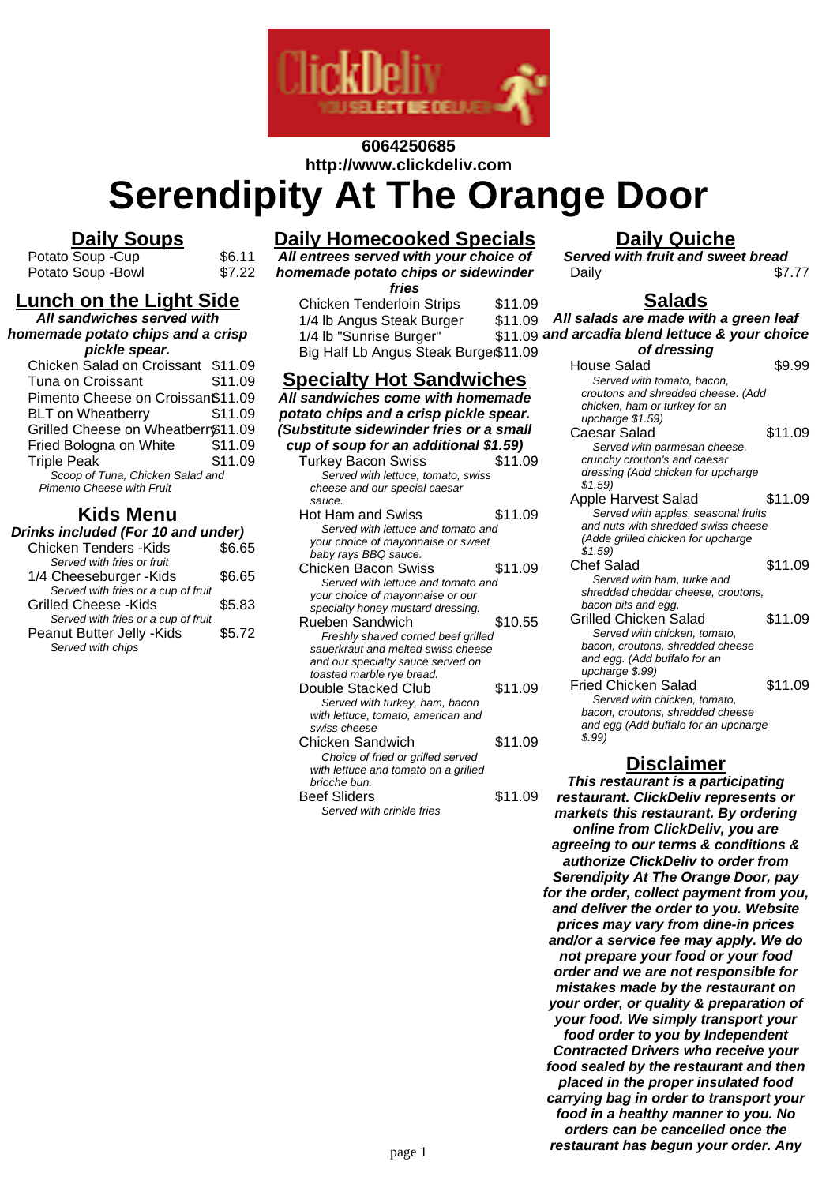

# **6064250685 http://www.clickdeliv.com**

**Serendipity At The Orange Door**

### **Daily Soups**

Potato Soup - Cup \$6.11<br>Potato Soup - Bowl \$7.22 Potato Soup -Bowl

### **Lunch on the Light Side**

**All sandwiches served with homemade potato chips and a crisp**

#### **pickle spear.**

| Chicken Salad on Croissant \$11.09 |         |
|------------------------------------|---------|
| Tuna on Croissant                  | \$11.09 |
| Pimento Cheese on Croissan\$11.09  |         |
| <b>BLT</b> on Wheatberry           | \$11.09 |
| Grilled Cheese on Wheatberr\$11.09 |         |
| Fried Bologna on White             | \$11.09 |
| <b>Triple Peak</b>                 | \$11.09 |
| Scoop of Tuna, Chicken Salad and   |         |

Pimento Cheese with Fruit

## **Kids Menu**

#### **Drinks included (For 10 and under)**

| <b>Chicken Tenders - Kids</b>       | \$6.65 |  |
|-------------------------------------|--------|--|
| Served with fries or fruit          |        |  |
| 1/4 Cheeseburger - Kids             | \$6.65 |  |
| Served with fries or a cup of fruit |        |  |
| <b>Grilled Cheese -Kids</b>         | \$5.83 |  |
| Served with fries or a cup of fruit |        |  |
| Peanut Butter Jelly - Kids          | \$5.72 |  |
| Served with chips                   |        |  |
|                                     |        |  |

## **Daily Homecooked Specials**

**All entrees served with your choice of homemade potato chips or sidewinder fries**

Chicken Tenderloin Strips \$11.09 1/4 lb Angus Steak Burger \$11.09 1/4 lb "Sunrise Burger" \$11.09 Big Half Lb Angus Steak Burger\$11.09

## **Specialty Hot Sandwiches**

**All sandwiches come with homemade potato chips and a crisp pickle spear. (Substitute sidewinder fries or a small cup of soup for an additional \$1.59)** Turkey Bacon Swiss \$11.09 Served with lettuce, tomato, swiss cheese and our special caesar sauce. Hot Ham and Swiss \$11.09 Served with lettuce and tomato and your choice of mayonnaise or sweet baby rays BBQ sauce. Chicken Bacon Swiss \$11.09 Served with lettuce and tomato and your choice of mayonnaise or our specialty honey mustard dressing. Rueben Sandwich **\$10.55** Freshly shaved corned beef grilled sauerkraut and melted swiss cheese and our specialty sauce served on toasted marble rye bread. Double Stacked Club \$11.09 Served with turkey, ham, bacon with lettuce, tomato, american and swiss cheese Chicken Sandwich \$11.09 Choice of fried or grilled served with lettuce and tomato on a grilled brioche bun. Beef Sliders \$11.09 Served with crinkle fries

# **Daily Quiche**

**Served with fruit and sweet bread** Daily \$7.77

#### **Salads**

| All salads are made with a green leaf<br>and arcadia blend lettuce & your choice |         |  |
|----------------------------------------------------------------------------------|---------|--|
| of dressing                                                                      |         |  |
| House Salad                                                                      | \$9.99  |  |
| Served with tomato, bacon,                                                       |         |  |
| croutons and shredded cheese. (Add                                               |         |  |
| chicken, ham or turkey for an                                                    |         |  |
| upcharge \$1.59)                                                                 |         |  |
| Caesar Salad                                                                     | \$11.09 |  |
| Served with parmesan cheese,                                                     |         |  |
| crunchy crouton's and caesar                                                     |         |  |
| dressing (Add chicken for upcharge                                               |         |  |
| \$1.59                                                                           |         |  |
| Apple Harvest Salad                                                              | \$11.09 |  |
| Served with apples, seasonal fruits                                              |         |  |
| and nuts with shredded swiss cheese                                              |         |  |
| (Adde grilled chicken for upcharge<br>\$1.59                                     |         |  |
| <b>Chef Salad</b>                                                                | \$11.09 |  |
| Served with ham, turke and                                                       |         |  |
| shredded cheddar cheese, croutons,                                               |         |  |
| bacon bits and egg,                                                              |         |  |
| Grilled Chicken Salad                                                            | \$11.09 |  |
| Served with chicken, tomato,                                                     |         |  |
| bacon, croutons, shredded cheese                                                 |         |  |
| and egg. (Add buffalo for an                                                     |         |  |
| upcharge \$.99)                                                                  |         |  |
| Fried Chicken Salad                                                              | \$11.09 |  |
| Served with chicken, tomato,                                                     |         |  |
| bacon, croutons, shredded cheese                                                 |         |  |
| and egg (Add buffalo for an upcharge                                             |         |  |
| \$.99)                                                                           |         |  |

#### **Disclaimer**

**This restaurant is a participating restaurant. ClickDeliv represents or markets this restaurant. By ordering online from ClickDeliv, you are agreeing to our terms & conditions & authorize ClickDeliv to order from Serendipity At The Orange Door, pay for the order, collect payment from you, and deliver the order to you. Website prices may vary from dine-in prices and/or a service fee may apply. We do not prepare your food or your food order and we are not responsible for mistakes made by the restaurant on your order, or quality & preparation of your food. We simply transport your food order to you by Independent Contracted Drivers who receive your food sealed by the restaurant and then placed in the proper insulated food carrying bag in order to transport your food in a healthy manner to you. No orders can be cancelled once the restaurant has begun your order. Any** page 1